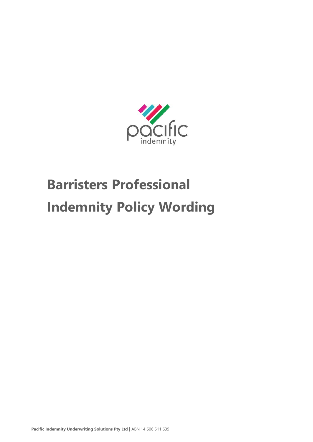

# **Barristers Professional Indemnity Policy Wording**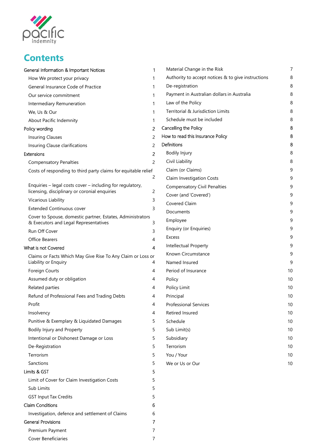

# **Contents**

| General Information & Important Notices                                                             | 1             |   |
|-----------------------------------------------------------------------------------------------------|---------------|---|
| How We protect your privacy                                                                         | 1             |   |
| General Insurance Code of Practice                                                                  | 1             |   |
| Our service commitment                                                                              | 1             |   |
| Intermediary Remuneration                                                                           | 1             |   |
| We, Us & Our                                                                                        | 1             |   |
| About Pacific Indemnity                                                                             | 1             |   |
| Policy wording                                                                                      | 2             | C |
| <b>Insuring Clauses</b>                                                                             | $\mathcal{P}$ | ŀ |
| Insuring Clause clarifications                                                                      | 2             | C |
| Extensions                                                                                          | 2             |   |
| <b>Compensatory Penalties</b>                                                                       | 2             |   |
| Costs of responding to third party claims for equitable relief                                      |               |   |
|                                                                                                     | 2             |   |
| Enquiries - legal costs cover - including for regulatory,                                           |               |   |
| licensing, disciplinary or coronial enquiries                                                       | 2             |   |
| Vicarious Liability                                                                                 | 3             |   |
| <b>Extended Continuous cover</b>                                                                    | 3             |   |
| Cover to Spouse, domestic partner, Estates, Administrators<br>& Executors and Legal Representatives | 3             |   |
| Run Off Cover                                                                                       | 3             |   |
| Office Bearers                                                                                      | 4             |   |
| What is not Covered                                                                                 | 4             |   |
| Claims or Facts Which May Give Rise To Any Claim or Loss or<br>Liability or Enquiry                 | 4             |   |
| Foreign Courts                                                                                      | 4             |   |
| Assumed duty or obligation                                                                          | 4             |   |
| Related parties                                                                                     | 4             |   |
| Refund of Professional Fees and Trading Debts                                                       | 4             |   |
| Profit                                                                                              | 4             |   |
| Insolvency                                                                                          | 4             |   |
| Punitive & Exemplary & Liquidated Damages                                                           | 5             |   |
| Bodily Injury and Property                                                                          | 5             |   |
| Intentional or Dishonest Damage or Loss                                                             | 5             |   |
| De-Registration                                                                                     | 5             |   |
| Terrorism                                                                                           | 5             |   |
| Sanctions                                                                                           | 5             |   |
| Limits & GST                                                                                        | 5             |   |
| Limit of Cover for Claim Investigation Costs                                                        | 5             |   |
| Sub Limits                                                                                          | 5             |   |
| <b>GST Input Tax Credits</b>                                                                        | 5             |   |
| <b>Claim Conditions</b>                                                                             | 6             |   |
| Investigation, defence and settlement of Claims                                                     | 6             |   |
| General Provisions                                                                                  | 7             |   |
| Premium Payment                                                                                     | 7             |   |
| <b>Cover Beneficiaries</b>                                                                          | 7             |   |

| Material Change in the Risk                        | 7  |
|----------------------------------------------------|----|
| Authority to accept notices & to give instructions | 8  |
| De-registration                                    | 8  |
| Payment in Australian dollars in Australia         | 8  |
| Law of the Policy                                  | 8  |
| Territorial & Jurisdiction Limits                  | 8  |
| Schedule must be included                          | 8  |
| Cancelling the Policy                              | 8  |
| How to read this Insurance Policy                  | 8  |
| Definitions                                        | 8  |
| <b>Bodily Injury</b>                               | 8  |
| Civil Liability                                    | 8  |
| Claim (or Claims)                                  | 9  |
| <b>Claim Investigation Costs</b>                   | 9  |
| <b>Compensatory Civil Penalties</b>                | 9  |
| Cover (and 'Covered')                              | 9  |
| Covered Claim                                      | 9  |
| Documents                                          | 9  |
| Employee                                           | 9  |
| Enquiry (or Enquiries)                             | 9  |
| <b>Excess</b>                                      | 9  |
| Intellectual Property                              | 9  |
| Known Circumstance                                 | 9  |
| Named Insured                                      | 9  |
| Period of Insurance                                | 10 |
| Policy                                             | 10 |
| Policy Limit                                       | 10 |
| Principal                                          | 10 |
| <b>Professional Services</b>                       | 10 |
| <b>Retired Insured</b>                             | 10 |
| Schedule                                           | 10 |
| Sub Limit(s)                                       | 10 |
| Subsidiary                                         | 10 |
| Terrorism                                          | 10 |
| You / Your                                         | 10 |
| We or Us or Our                                    | 10 |
|                                                    |    |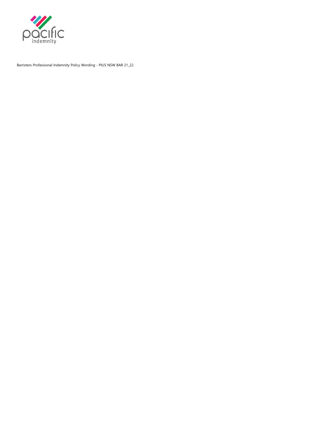

Barristers Professional Indemnity Policy Wording - PIUS NSW BAR 21\_22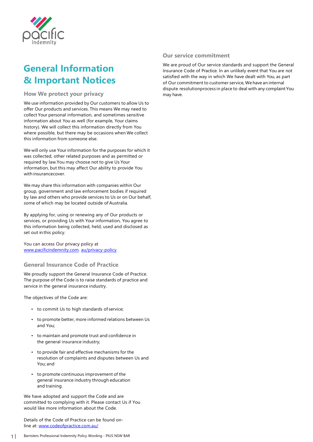

# <span id="page-3-0"></span>**General Information & Important Notices**

**How We protect your privacy**

We use information provided by Our customers to allow Us to offer Our products and services. This means We may need to collect Your personal information, and sometimes sensitive information about You as well (for example, Your claims history). We will collect this information directly from You where possible, but there may be occasions when We collect this information from someone else.

We will only use Your information for the purposes for which it was collected, other related purposes and as permitted or required by law.You may choose not to give Us Your information, but this may affect Our ability to provide You with insurancecover.

We may share this information with companies within Our group, government and law enforcement bodies if required by law and others who provide services to Us or on Our behalf, some of which may be located outside of Australia.

By applying for, using or renewing any of Our products or services, or providing Us with Your information, You agree to this information being collected, held, used and disclosed as set out in this policy.

You can access Our privacy policy at [www.pacificindemnity.com.](http://www.pacificindemnity.com/) au/privacy-policy

**General Insurance Code of Practice**

We proudly support the General Insurance Code of Practice. The purpose of the Code is to raise standards of practice and service in the general insurance industry.

The objectives of the Code are:

- to commit Us to high standards of service;
- to promote better, more informed relations between Us and You;
- to maintain and promote trust and confidence in the general insurance industry;
- to provide fair and effective mechanisms for the resolution of complaints and disputes between Us and You; and
- to promote continuous improvement of the general insurance industry through education and training.

We have adopted and support the Code and are committed to complying with it. Please contact Us if You would like more information about the Code.

Details of the Code of Practice can be found online at: [www.codeofpractice.com.au/](http://www.codeofpractice.com.au/)

# **Our service commitment**

We are proud of Our service standards and support the General Insurance Code of Practice. In an unlikely event that You are not satisfied with the way in which We have dealt with You, as part of Our commitment to customer service,We have an internal dispute resolutionprocess in place to deal with any complaint You may have.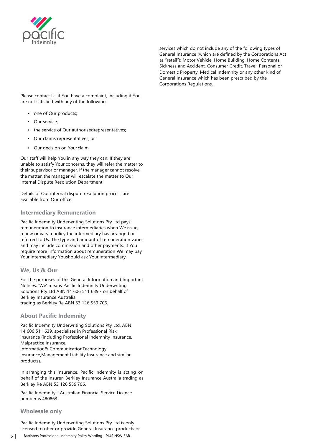

services which do not include any of the following types of General Insurance (which are defined by the Corporations Act as "retail"): Motor Vehicle, Home Building, Home Contents, Sickness and Accident, Consumer Credit, Travel, Personal or Domestic Property, Medical Indemnity or any other kind of General Insurance which has been prescribed by the Corporations Regulations.

Please contact Us if You have a complaint, including if You are not satisfied with any of the following:

- one of Our products;
- Our service;
- the service of Our authorisedrepresentatives;
- Our claims representatives; or
- Our decision on Your claim.

Our staff will help You in any way they can. If they are unable to satisfy Your concerns, they will refer the matter to their supervisor or manager. If the manager cannot resolve the matter, the manager will escalate the matter to Our Internal Dispute Resolution Department.

Details of Our internal dispute resolution process are available from Our office.

#### **Intermediary Remuneration**

Pacific Indemnity Underwriting Solutions Pty Ltd pays remuneration to insurance intermediaries when We issue, renew or vary a policy the intermediary has arranged or referred to Us. The type and amount of remuneration varies and may include commission and other payments. If You require more information about remuneration We may pay Your intermediary Youshould ask Your intermediary.

#### **We, Us & Our**

For the purposes of this General Information and Important Notices, 'We' means Pacific Indemnity Underwriting Solutions Pty Ltd ABN 14 606 511 639 - on behalf of Berkley Insurance Australia trading as Berkley Re ABN 53 126 559 706.

#### **About Pacific Indemnity**

Pacific Indemnity Underwriting Solutions Pty Ltd, ABN 14 606 511 639, specialises in Professional Risk insurance (including Professional Indemnity Insurance, Malpractice Insurance, Information& CommunicationTechnology Insurance,Management Liability Insurance and similar products).

In arranging this insurance, Pacific Indemnity is acting on behalf of the insurer, Berkley Insurance Australia trading as Berkley Re ABN 53 126 559 706.

Pacific Indemnity's Australian Financial Service Licence number is 480863.

#### **Wholesale only**

Pacific Indemnity Underwriting Solutions Pty Ltd is only licensed to offer or provide General Insurance products or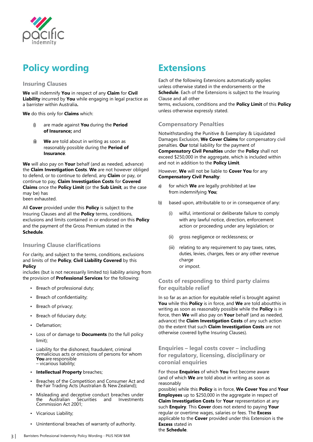

# <span id="page-5-0"></span>**Policy wording**

### **Insuring Clauses**

**We** will indemnify **You** in respect of any **Claim** for **Civil Liability** incurred by **You** while engaging in legal practice as a barrister within Australia**.**

**We** do this only for **Claims** which:

- (i) are made against **You** during the **Period of Insurance;** and
- (ii) **We** are told about in writing as soon as reasonably possible during the **Period of Insurance**.

**We** will also pay on **Your** behalf (and as needed, advance) the **Claim Investigation Costs**. **We** are not however obliged to defend, or to continue to defend, any **Claim** or pay, or continue to pay, **Claim Investigation Costs** for **Covered Claims** once the **Policy Limit** (or the **Sub Limit**, as the case may be) has been exhausted.

All **Cover** provided under this **Policy** is subject to the Insuring Clauses and all the **Policy** terms, conditions, exclusions and limits contained in or endorsed on this **Policy**  and the payment of the Gross Premium stated in the **Schedule**.

# **Insuring Clause clarifications**

For clarity, and subject to the terms, conditions, exclusions and limits of the **Policy**, **Civil Liability Covered** by this **Policy**

includes (but is not necessarily limited to) liability arising from the provision of **Professional Services** for the following:

- Breach of professional duty;
- Breach of confidentiality;
- Breach of privacy;
- Breach of fiduciary duty;
- Defamation;
- Loss of or damage to **Documents** (to the full policy limit);
- Liability for the dishonest, fraudulent, criminal ormalicious acts or omissions of persons for whom<br>You are responsible - vicarious liability;
- **Intellectual Property** breaches;
- Breaches of the Competition and Consumer Act and the Fair Trading Acts (Australian & New Zealand);
- Misleading and deceptive conduct breaches under<br>the Australian Securities and Investments Australian Securities Commission Act 2001;
- Vicarious Liability;
- Unintentional breaches of warranty of authority.

# **Extensions**

Each of the following Extensions automatically applies unless otherwise stated in the endorsements or the **Schedule**. Each of the Extensions is subject to the Insuring Clause and all other terms, exclusions, conditions and the **Policy Limit** of this **Policy** unless otherwise expressly stated.

### **Compensatory Penalties**

Notwithstanding the Punitive & Exemplary & Liquidated Damages Exclusion, **We Cover Claims** for compensatory civil penalties. **Our** total liability for the payment of **Compensatory Civil Penalties** under the **Policy** shall not exceed \$250,000 in the aggregate, which is included within and not in addition to the **Policy Limit**.

However, **We** will not be liable to **Cover You** for any **Compensatory Civil Penalty**:

- a) for which **We** are legally prohibited at law from indemnifying **You**;
- b) based upon, attributable to or in consequence of any:
	- (i) wilful, intentional or deliberate failure to comply with any lawful notice, direction, enforcement action or proceeding under any legislation; or
	- (ii) gross negligence or recklessness; or
	- (iii) relating to any requirement to pay taxes, rates, duties, levies, charges, fees or any other revenue charge or impost.

# **Costs of responding to third party claims for equitable relief**

In so far as an action for equitable relief is brought against **You** while this **Policy** is in force, and **We** are told aboutthis in writing as soon as reasonably possible while the **Policy** is in force, then **We** will also pay on **Your** behalf (and as needed, advance) the **Claim Investigation Costs** of any such action (to the extent that such **Claim Investigation Costs** are not otherwise covered bythe Insuring Clauses).

**Enquiries – legal costs cover – including for regulatory, licensing, disciplinary or coronial enquiries**

For those **Enquiries** of which **You** first become aware (and of which **We** are told about in writing as soon as reasonably

possible) while this **Policy** is in force, **We Cover You** and **Your Employees** up to \$250,000 in the aggregate in respect of **Claim Investigation Costs** for **Your** representation at any such **Enquiry**. This **Cover** does not extend to paying **Your**  regular or overtime wages, salaries or fees. The **Excess**  applicable to the **Cover** provided under this Extension is the **Excess** stated in

the **Schedule**.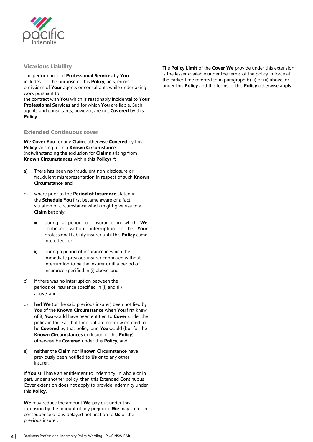

### <span id="page-6-0"></span>**Vicarious Liability**

The performance of **Professional Services** by **You**  includes, for the purpose of this **Policy**, acts, errors or omissions of **Your** agents or consultants while undertaking work pursuant to

the contract with **You** which is reasonably incidental to **Your Professional Services** and for which **You** are liable. Such agents and consultants, however, are not **Covered** by this **Policy**.

#### **Extended Continuous cover**

**We Cover You** for any **Claim,** otherwise **Covered** by this **Policy**, arising from a **Known Circumstance**  (notwithstanding the exclusion for **Claims** arising from **Known Circumstances** within this **Policy**) if:

- a) There has been no fraudulent non-disclosure or fraudulent misrepresentation in respect of such **Known Circumstance**; and
- b) where prior to the **Period of Insurance** stated in the **Schedule You** first became aware of a fact, situation or circumstance which might give rise to a **Claim** but only:
	- (i) during a period of insurance in which **We**  continued without interruption to be **Your**  professional liability insurer until this **Policy** came into effect; or
	- $<sup>ii</sup>$  during a period of insurance in which the</sup> immediate previous insurer continued without interruption to be the insurer until a period of insurance specified in (i) above; and
- c) if there was no interruption between the periods of insurance specified in (i) and (ii) above; and
- d) had **We** (or the said previous insurer) been notified by **You** of the **Known Circumstance** when **You** first knew of it, **You** would have been entitled to **Cover** under the policy in force at that time but are not now entitled to be **Covered** by that policy, and **You** would (but for the **Known Circumstances** exclusion of this **Policy**) otherwise be **Covered** under this **Policy**; and
- e) neither the **Claim** nor **Known Circumstance** have previously been notified to **Us** or to any other insurer.

If **You** still have an entitlement to indemnity, in whole or in part, under another policy, then this Extended Continuous Cover extension does not apply to provide indemnity under this **Policy**.

**We** may reduce the amount **We** pay out under this extension by the amount of any prejudice **We** may suffer in consequence of any delayed notification to **Us** or the previous insurer.

The **Policy Limit** of the **Cover We** provide under this extension is the lesser available under the terms of the policy in force at the earlier time referred to in paragraph b) (i) or (ii) above, or under this **Policy** and the terms of this **Policy** otherwise apply.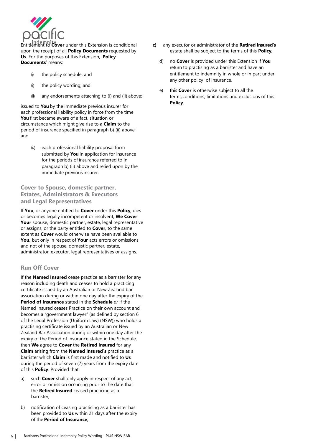

Entitlement to **Cover** under this Extension is conditional upon the receipt of all **Policy Documents** requested by **Us**. For the purposes of this Extension, '**Policy Documents**' means:

- $\emptyset$  the policy schedule; and
- $\omega$  the policy wording; and
- $(ii)$  any endorsements attaching to (i) and (ii) above;

issued to **You** by the immediate previous insurer for each professional liability policy in force from the time **You** first became aware of a fact, situation or circumstance which might give rise to a **Claim** to the period of insurance specified in paragraph b) (ii) above; and

(v) each professional liability proposal form submitted by **You** in application for insurance for the periods of insurance referred to in paragraph b) (ii) above and relied upon by the immediate previous insurer.

# **Cover to Spouse, domestic partner, Estates, Administrators & Executors and Legal Representatives**

If **You**, or anyone entitled to **Cover** under this **Policy**, dies or becomes legally incompetent or insolvent, **We Cover Your** spouse, domestic partner, estate, legal representative or assigns, or the party entitled to **Cover**, to the same extent as **Cover** would otherwise have been available to **You,** but only in respect of **Your** acts errors or omissions and not of the spouse, domestic partner, estate, administrator, executor, legal representatives or assigns.

# **Run Off Cover**

If the **Named Insured** cease practice as a barrister for any reason including death and ceases to hold a practicing certificate issued by an Australian or New Zealand bar association during or within one day after the expiry of the **Period of Insurance** stated in the **Schedule** *or* if the Named Insured ceases Practice on their own account and becomes a "government lawyer" (as defined by section 6 of the Legal Profession (Uniform Law) (NSW)) who holds a practising certificate issued by an Australian or New Zealand Bar Association during or within one day after the expiry of the Period of Insurance stated in the Schedule, then **We** agree to **Cover** the **Retired Insured** for any **Claim** arising from the **Named Insured's** practice as a barrister which **Claim** is first made and notified to **Us**  during the period of seven (7) years from the expiry date of this **Policy**. Provided that:

- a) such **Cover** shall only apply in respect of any act, error or omission occurring prior to the date that the **Retired Insured** ceased practicing as a barrister;
- b) notification of ceasing practicing as a barrister has been provided to **Us** within 21 days after the expiry of the **Period of Insurance**;
- **c)** any executor or administrator of the **Retired Insured's** estate shall be subject to the terms of this **Policy**;
	- d) no **Cover** is provided under this Extension if **You**  return to practising as a barrister and have an entitlement to indemnity in whole or in part under any other policy of insurance.
	- e) this **Cover** is otherwise subject to all the terms,conditions, limitations and exclusions of this **Policy**.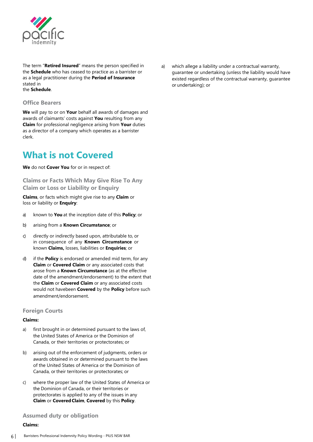

<span id="page-8-0"></span>The term "**Retired Insured**" means the person specified in the **Schedule** who has ceased to practice as a barrister or as a legal practitioner during the **Period of Insurance**  stated in the **Schedule**.

#### **Office Bearers**

**We** will pay to or on **Your** behalf all awards of damages and awards of claimants' costs against **You** resulting from any **Claim** for professional negligence arising from **Your** duties as a director of a company which operates as a barrister clerk.

# **What is not Covered**

**We** do not **Cover You** for or in respect of:

**Claims or Facts Which May Give Rise To Any Claim or Loss or Liability or Enquiry**

**Claims**, or facts which might give rise to any **Claim** or loss or liability or **Enquiry**:

- a) known to **You** at the inception date of this **Policy**; or
- b) arising from a **Known Circumstance**; or
- c) directly or indirectly based upon, attributable to, or in consequence of any **Known Circumstance** or known **Claims,** losses, liabilities or **Enquiries**; or
- d) if the **Policy** is endorsed or amended mid term, for any **Claim** or **Covered Claim** or any associated costs that arose from a **Known Circumstance** (as at the effective date of the amendment/endorsement) to the extent that the **Claim** or **Covered Claim** or any associated costs would not havebeen **Covered** by the **Policy** before such amendment/endorsement.

#### **Foreign Courts**

#### **Claims:**

- a) first brought in or determined pursuant to the laws of, the United States of America or the Dominion of Canada, or their territories or protectorates; or
- b) arising out of the enforcement of judgments, orders or awards obtained in or determined pursuant to the laws of the United States of America or the Dominion of Canada, or their territories or protectorates; or
- c) where the proper law of the United States of America or the Dominion of Canada, or their territories or protectorates is applied to any of the issues in any **Claim** or **CoveredClaim**, **Covered** by this **Policy**.

#### **Assumed duty or obligation**

#### **Claims:**

a) which allege a liability under a contractual warranty, guarantee or undertaking (unless the liability would have existed regardless of the contractual warranty, guarantee or undertaking); or

6 | Barristers Professional Indemnity Policy Wording - PIUS NSW BAR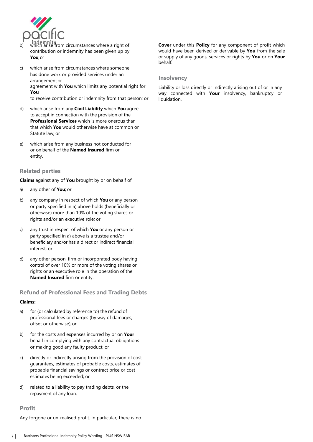

- b) which arise from circumstances where a right of contribution or indemnity has been given up by **You**;or
- c) which arise from circumstances where someone has done work or provided services under an arrangementor agreement with **You** which limits any potential right for **You** to receive contribution or indemnity from that person; or
- d) which arise from any **Civil Liability** which **You** agree to accept in connection with the provision of the **Professional Services** which is more onerous than that which **You** would otherwise have at common or Statute law; or
- e) which arise from any business not conducted for or on behalf of the **Named Insured** firm or entity.

#### **Related parties**

**Claims** against any of **You** brought by or on behalf of:

- a) any other of **You**; or
- b) any company in respect of which **You** or any person or party specified in a) above holds (beneficially or otherwise) more than 10% of the voting shares or rights and/or an executive role; or
- c) any trust in respect of which **You** or any person or party specified in a) above is a trustee and/or beneficiary and/or has a direct or indirect financial interest; or
- d) any other person, firm or incorporated body having control of over 10% or more of the voting shares or rights or an executive role in the operation of the **Named Insured** firm or entity.

#### **Refund of Professional Fees and Trading Debts**

#### **Claims:**

- a) for (or calculated by reference to) the refund of professional fees or charges (by way of damages, offset or otherwise);or
- b) for the costs and expenses incurred by or on **Your**  behalf in complying with any contractual obligations or making good any faulty product; or
- c) directly or indirectly arising from the provision of cost guarantees, estimates of probable costs, estimates of probable financial savings or contract price or cost estimates being exceeded; or
- d) related to a liability to pay trading debts, or the repayment of any loan.

# **Profit**

Any forgone or un-realised profit. In particular, there is no

**Cover** under this **Policy** for any component of profit which would have been derived or derivable by **You** from the sale or supply of any goods, services or rights by **You** or on **Your**  behalf.

#### **Insolvency**

Liability or loss directly or indirectly arising out of or in any way connected with **Your** insolvency, bankruptcy or liquidation.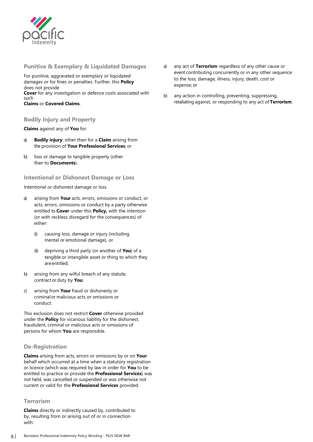

<span id="page-10-0"></span>**Punitive & Exemplary & Liquidated Damages**

For punitive, aggravated or exemplary or liquidated damages or for fines or penalties. Further, this **Policy**  does not provide **Cover** for any investigation or defence costs associated with such

**Claims** or **Covered Claims**.

#### **Bodily Injury and Property**

**Claims** against any of **You** for:

- a) **Bodily injury**; other than for a **Claim** arising from the provision of **Your Professional Services**; or
- b) loss or damage to tangible property (other than to **Documents**).

#### **Intentional or Dishonest Damage or Loss**

Intentional or dishonest damage or loss

- a) arising from **Your** acts, errors, omissions or conduct, or acts, errors, omissions or conduct by a party otherwise entitled to **Cover** under this **Policy,** with the intention (or with reckless disregard for the consequences) of either:
	- (i) causing loss, damage or injury (including mental or emotional damage), or
	- (ii) depriving a third party (or another of **You**) of a tangible or intangible asset or thing to which they are entitled;
- b) arising from any wilful breach of any statute, contract or duty by **You**;
- c) arising from **Your** fraud or dishonesty or criminal or malicious acts or omissions or conduct.

This exclusion does not restrict **Cover** otherwise provided under the **Policy** for vicarious liability for the dishonest, fraudulent, criminal or malicious acts or omissions of persons for whom **You** are responsible.

#### **De-Registration**

**Claims** arising from acts, errors or omissions by or on **Your**  behalf which occurred at a time when a statutory registration or licence (which was required by law in order for **You** to be entitled to practice or provide the **Professional Services**) was not held, was cancelled or suspended or was otherwise not current or valid for the **Professional Services** provided.

#### **Terrorism**

**Claims** directly or indirectly caused by, contributed to by, resulting from or arising out of or in connection with:

- a) any act of **Terrorism** regardless of any other cause or event contributing concurrently or in any other sequence to the loss, damage, illness, injury, death, cost or expense; or
- b) any action in controlling, preventing, suppressing, retaliating against, or responding to any act of **Terrorism**.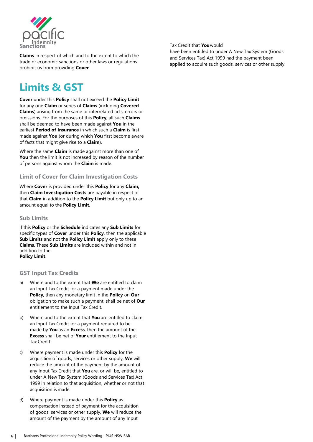

**Claims** in respect of which and to the extent to which the trade or economic sanctions or other laws or regulations prohibit us from providing **Cover**.

# **Limits & GST**

**Cover** under this **Policy** shall not exceed the **Policy Limit**  for any one **Claim** or series of **Claims** (including **Covered Claims**) arising from the same or interrelated acts, errors or omissions. For the purposes of this **Policy**, all such **Claims**  shall be deemed to have been made against **You** in the earliest **Period of Insurance** in which such a **Claim** is first made against **You** (or during which **You** first become aware of facts that might give rise to a **Claim**).

Where the same **Claim** is made against more than one of **You** then the limit is not increased by reason of the number of persons against whom the **Claim** is made.

# **Limit of Cover for Claim Investigation Costs**

Where **Cover** is provided under this **Policy** for any **Claim,**  then **Claim Investigation Costs** are payable in respect of that **Claim** in addition to the **Policy Limit** but only up to an amount equal to the **Policy Limit**.

#### **Sub Limits**

If this **Policy** or the **Schedule** indicates any **Sub Limits** for specific types of **Cover** under this **Policy**, then the applicable **Sub Limits** and not the **Policy Limit** apply only to these **Claims**. These **Sub Limits** are included within and not in addition to the **Policy Limit**.

#### **GST Input Tax Credits**

- a) Where and to the extent that **We** are entitled to claim an Input Tax Credit for a payment made under the **Policy**, then any monetary limit in the **Policy** on **Our**  obligation to make such a payment, shall be net of **Our**  entitlement to the Input Tax Credit.
- b) Where and to the extent that **You** are entitled to claim an Input Tax Credit for a payment required to be made by **You** as an **Excess**, then the amount of the **Excess** shall be net of **Your** entitlement to the Input Tax Credit.
- c) Where payment is made under this **Policy** for the acquisition of goods, services or other supply, **We** will reduce the amount of the payment by the amount of any Input Tax Credit that **You** are, or will be, entitled to under A New Tax System (Goods and Services Tax) Act 1999 in relation to that acquisition, whether or not that acquisition is made.
- d) Where payment is made under this **Policy** as compensation instead of payment for the acquisition of goods, services or other supply, **We** will reduce the amount of the payment by the amount of any Input

Tax Credit that **You**would

have been entitled to under A New Tax System (Goods and Services Tax) Act 1999 had the payment been applied to acquire such goods, services or other supply.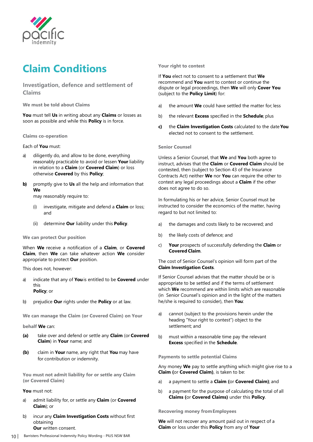

# <span id="page-12-0"></span>**Claim Conditions**

# **Investigation, defence and settlement of Claims**

**We must be told about Claims**

**You** must tell **Us** in writing about any **Claims** or losses as soon as possible and while this **Policy** is in force.

**Claims co-operation**

#### Each of **You** must:

- a) diligently do, and allow to be done, everything reasonably practicable to avoid or lessen **Your** liability in relation to a **Claim** (or **Covered Claim**) or loss otherwise **Covered** by this **Policy**;
- **b)** promptly give to **Us** all the help and information that **We**

may reasonably require to:

- (i) investigate, mitigate and defend a **Claim** or loss; and
- (ii) determine **Our** liability under this **Policy**.

#### **We can protect Our position**

When **We** receive a notification of a **Claim**, or **Covered Claim**, then **We** can take whatever action **We** consider appropriate to protect **Our** position.

This does not, however:

- a) indicate that any of **You**is entitled to be **Covered** under this **Policy**; or
- b) prejudice **Our** rights under the **Policy** or at law.

**We can manage the Claim (or Covered Claim) on Your** 

**behalf We** can:

- **(a)** take over and defend or settle any **Claim** (or **Covered Claim**) in **Your** name; and
- **(b)** claim in **Your** name, any right that **You** may have for contribution or indemnity.

**You must not admit liability for or settle any Claim (or Covered Claim)**

#### **You** must not:

- a) admit liability for, or settle any **Claim** (or **Covered Claim**); or
- b) incur any **Claim Investigation Costs** without first obtaining **Our** written consent.

#### **Your right to contest**

If **You** elect not to consent to a settlement that **We**  recommend and **You** want to contest or continue the dispute or legal proceedings, then **We** will only **Cover You**  (subject to the **Policy Limit**) for:

- a) the amount **We** could have settled the matter for; less
- b) the relevant **Excess** specified in the **Schedule**; plus
- **c)** the **Claim Investigation Costs** calculated to the date **You** elected not to consent to the settlement.

#### **Senior Counsel**

Unless a Senior Counsel, that **We** and **You** both agree to instruct, advises that the **Claim** or **Covered Claim** should be contested, then (subject to Section 43 of the Insurance Contracts Act) neither **We** nor **You** can require the other to contest any legal proceedings about a **Claim** if the other does not agree to do so.

In formulating his or her advice, Senior Counsel must be instructed to consider the economics of the matter, having regard to but not limited to:

- a) the damages and costs likely to be recovered; and
- b) the likely costs of defence; and
- c) **Your** prospects of successfully defending the **Claim** or **Covered Claim**.

The cost of Senior Counsel's opinion will form part of the **Claim Investigation Costs**.

If Senior Counsel advises that the matter should be or is appropriate to be settled and if the terms of settlement which **We** recommend are within limits which are reasonable (in Senior Counsel's opinion and in the light of the matters he/she is required to consider), then **You**:

- a) cannot (subject to the provisions herein under the heading "Your right to contest") object to the settlement; and
- b) must within a reasonable time pay the relevant **Excess** specified in the **Schedule**.

**Payments to settle potential Claims**

Any money **We** pay to settle anything which might give rise to a **Claim (**or **Covered Claim)**, is taken to be:

- a) a payment to settle a **Claim (**or **Covered Claim)**; and
- b) a payment for the purpose of calculating the total of all **Claims (**or **Covered Claims)** under this **Policy**.

#### **Recovering money fromEmployees**

**We** will not recover any amount paid out in respect of a **Claim** or loss under this **Policy** from any of **Your**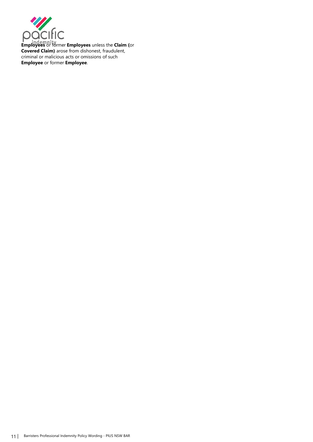

**Employees** or former **Employees** unless the **Claim (**or **Covered Claim)** arose from dishonest, fraudulent, criminal or malicious acts or omissions of such **Employee** or former **Employee**.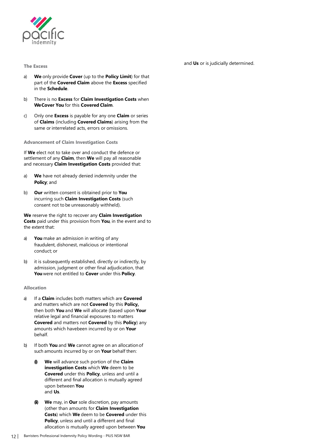

<span id="page-14-0"></span>**The Excess**

and **Us** or is judicially determined.

- a) **We** only provide **Cover** (up to the **Policy Limit**) for that part of the **Covered Claim** above the **Excess** specified in the **Schedule**.
- b) There is no **Excess** for **Claim Investigation Costs** when **We Cover You** for this **Covered Claim**.
- c) Only one **Excess** is payable for any one **Claim** or series of **Claims** (including **Covered Claims**) arising from the same or interrelated acts, errors or omissions.

#### **Advancement of Claim Investigation Costs**

If **We** elect not to take over and conduct the defence or settlement of any **Claim**, then **We** will pay all reasonable and necessary **Claim Investigation Costs** provided that:

- a) **We** have not already denied indemnity under the **Policy**; and
- b) **Our** written consent is obtained prior to **You**  incurring such **Claim Investigation Costs** (such consent not to be unreasonably withheld).

**We** reserve the right to recover any **Claim Investigation Costs** paid under this provision from **You**, in the event and to the extent that:

- a) **You** make an admission in writing of any fraudulent, dishonest, malicious or intentional conduct; or
- b) it is subsequently established, directly or indirectly, by admission, judgment or other final adjudication, that **You** were not entitled to **Cover** under this **Policy**.

#### **Allocation**

- a) If a **Claim** includes both matters which are **Covered**  and matters which are not **Covered** by this **Policy,**  then both **You** and **We** will allocate (based upon **Your**  relative legal and financial exposures to matters **Covered** and matters not **Covered** by this **Policy**) any amounts which havebeen incurred by or on **Your** behalf.
- b) If both **You** and **We** cannot agree on an allocationof such amounts incurred by or on **Your** behalf then:
	- **(i) We** will advance such portion of the **Claim investigation Costs** which **We** deem to be **Covered** under this **Policy**, unless and until a different and final allocation is mutually agreed upon between **You** and **Us**.
	- **(ii) We** may, in **Our** sole discretion, pay amounts (other than amounts for **Claim Investigation Costs**) which **We** deem to be **Covered** under this **Policy**, unless and until a different and final allocation is mutually agreed upon between **You**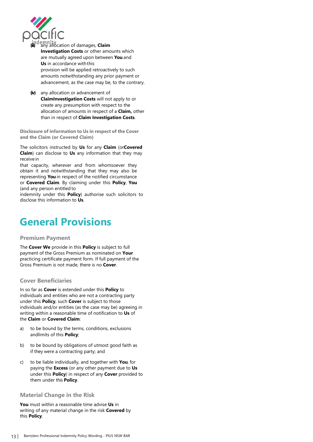

- **(iii)** any allocation of damages, **Claim Investigation Costs** or other amounts which are mutually agreed upon between **You** and **Us** in accordance withthis provision will be applied retroactively to such amounts notwithstanding any prior payment or advancement, as the case may be, to the contrary.
- **(iv)** any allocation or advancement of **ClaimInvestigation Costs** will not apply to or create any presumption with respect to the allocation of amounts in respect of a **Claim,** other than in respect of **Claim Investigation Costs**.

**Disclosure of information to Us in respect of the Cover and the Claim (or Covered Claim)**

The solicitors instructed by **Us** for any **Claim** (or**Covered Claim**) can disclose to **Us** any information that they may receive in

that capacity, wherever and from whomsoever they obtain it and notwithstanding that they may also be representing **You** in respect of the notified circumstance or **Covered Claim**. By claiming under this **Policy**, **You**  (and any person entitled to

indemnity under this **Policy**) authorise such solicitors to disclose this information to **Us**.

# **General Provisions**

#### **Premium Payment**

The **Cover We** provide in this **Policy** is subject to full payment of the Gross Premium as nominated on **Your**  practicing certificate payment form. If full payment of the Gross Premium is not made, there is no **Cover**.

#### **Cover Beneficiaries**

In so far as **Cover** is extended under this **Policy** to individuals and entities who are not a contracting party under this **Policy**, such **Cover** is subject to those individuals and/or entities (as the case may be) agreeing in writing within a reasonable time of notification to **Us** of the **Claim** or **Covered Claim**:

- a) to be bound by the terms, conditions, exclusions andlimits of this **Policy**;
- b) to be bound by obligations of utmost good faith as if they were a contracting party; and
- c) to be liable individually, and together with **You**, for paying the **Excess** (or any other payment due to **Us**  under this **Policy**) in respect of any **Cover** provided to them under this **Policy**.

#### **Material Change in the Risk**

**You** must within a reasonable time advise **Us** in writing of any material change in the risk **Covered** by this **Policy**.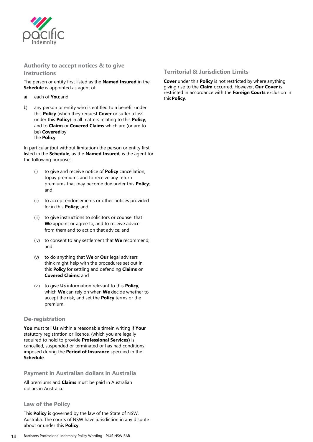

# <span id="page-16-0"></span>**Authority to accept notices & to give**

**instructions**

The person or entity first listed as the **Named Insured** in the **Schedule** is appointed as agent of:

- a) each of **You**; and
- b) any person or entity who is entitled to a benefit under this **Policy** (when they request **Cover** or suffer a loss under this **Policy**) in all matters relating to this **Policy**, and to **Claims** or **Covered Claims** which are (or are to be) **Covered** by the **Policy**.

In particular (but without limitation) the person or entity first listed in the **Schedule**, as the **Named Insured**, is the agent for the following purposes:

- (i) to give and receive notice of **Policy** cancellation, topay premiums and to receive any return premiums that may become due under this **Policy**; and
- (ii) to accept endorsements or other notices provided for in this **Policy**; and
- (iii) to give instructions to solicitors or counsel that **We** appoint or agree to, and to receive advice from them and to act on that advice; and
- (iv) to consent to any settlement that **We** recommend; and
- (v) to do anything that **We** or **Our** legal advisers think might help with the procedures set out in this **Policy** for settling and defending **Claims** or **Covered Claims**; and
- (vi) to give **Us** information relevant to this **Policy**, which **We** can rely on when **We** decide whether to accept the risk, and set the **Policy** terms or the premium.

#### **De-registration**

**You** must tell **Us** within a reasonable timein writing if **Your**  statutory registration or licence, (which you are legally required to hold to provide **Professional Services)** is cancelled, suspended or terminated or has had conditions imposed during the **Period of Insurance** specified in the **Schedule**.

# **Payment in Australian dollars in Australia**

All premiums and **Claims** must be paid in Australian dollars in Australia.

#### **Law of the Policy**

This **Policy** is governed by the law of the State of NSW, Australia. The courts of NSW have jurisdiction in any dispute about or under this **Policy**.

**Cover** under this **Policy** is not restricted by where anything giving rise to the **Claim** occurred. However, **Our Cover** is restricted in accordance with the **Foreign Courts** exclusion in this**Policy**.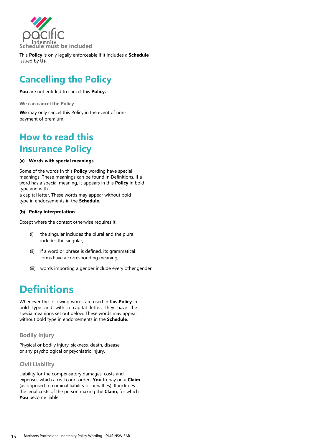

This **Policy** is only legally enforceable if it includes a **Schedule** issued by **Us**.

# **Cancelling the Policy**

**You** are not entitled to cancel this **Policy.**

**We can cancel the Policy**

**We** may only cancel this Policy in the event of nonpayment of premium.

# **How to read this Insurance Policy**

#### **(a) Words with special meanings**

Some of the words in this **Policy** wording have special meanings. These meanings can be found in Definitions. If a word has a special meaning, it appears in this **Policy** in bold type and with

a capital letter. These words may appear without bold type in endorsements in the **Schedule**.

#### **(b) Policy Interpretation**

Except where the context otherwise requires it:

- (i) the singular includes the plural and the plural includes the singular;
- (ii) if a word or phrase is defined, its grammatical forms have a corresponding meaning;
- (iii) words importing a gender include every other gender.

# **Definitions**

Whenever the following words are used in this **Policy** in bold type and with a capital letter, they have the specialmeanings set out below. These words may appear without bold type in endorsements in the **Schedule**.

# **Bodily Injury**

Physical or bodily injury, sickness, death, disease or any psychological or psychiatric injury.

# **Civil Liability**

Liability for the compensatory damages, costs and expenses which a civil court orders **You** to pay on a **Claim**  (as opposed to criminal liability or penalties). It includes the legal costs of the person making the **Claim**, for which **You** become liable.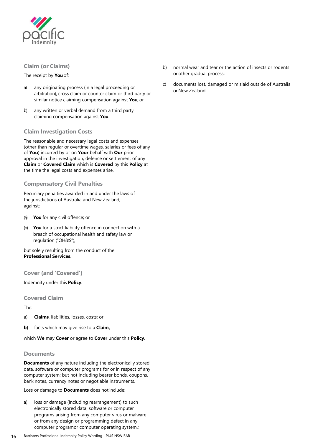

### <span id="page-18-0"></span>**Claim (or Claims)**

#### The receipt by **You**of:

- a) any originating process (in a legal proceeding or arbitration), cross claim or counter claim or third party or similar notice claiming compensation against **You**; or
- b) any written or verbal demand from a third party claiming compensation against **You**.

### **Claim Investigation Costs**

The reasonable and necessary legal costs and expenses (other than regular or overtime wages, salaries or fees of any of **You**) incurred by or on **Your** behalf with **Our** prior approval in the investigation, defence or settlement of any **Claim** or **Covered Claim** which is **Covered** by this **Policy** at the time the legal costs and expenses arise.

#### **Compensatory Civil Penalties**

Pecuniary penalties awarded in and under the laws of the jurisdictions of Australia and New Zealand, against:

- (a) **You** for any civil offence; or
- (b) **You** for a strict liability offence in connection with a breach of occupational health and safety law or regulation ("OH&S"),

but solely resulting from the conduct of the **Professional Services**.

**Cover (and 'Covered')**

Indemnity under this **Policy**.

#### **Covered Claim**

The:

- a) **Claims**, liabilities, losses, costs; or
- **b)** facts which may give rise to a **Claim,**

which **We** may **Cover** or agree to **Cover** under this **Policy**.

#### **Documents**

**Documents** of any nature including the electronically stored data, software or computer programs for or in respect of any computer system; but not including bearer bonds, coupons, bank notes, currency notes or negotiable instruments.

Loss or damage to **Documents** does notinclude:

a) loss or damage (including rearrangement) to such electronically stored data, software or computer programs arising from any computer virus or malware or from any design or programming defect in any computer programor computer operating system.;

- b) normal wear and tear or the action of insects or rodents or other gradual process;
- c) documents lost, damaged or mislaid outside of Australia or New Zealand.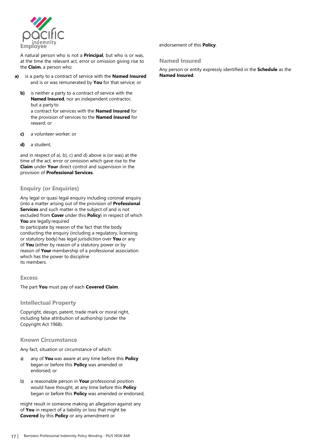

A natural person who is not a **Principal**, but who is or was, at the time the relevant act, error or omission giving rise to the **Claim**, a person who:

- **a)** is a party to a contract of service with the **Named Insured** and is or was remunerated by **You** for that service; or
	- **b)** is neither a party to a contract of service with the **Named Insured**, nor an independent contractor, but a party to a contract for services with the **Named Insured** for the provision of services to the **Named Insured** for reward; or
	- **c)** a volunteer worker; or
	- **d)** a student,

and in respect of a), b), c) and d) above is (or was) at the time of the act, error or omission which gave rise to the **Claim** under **Your** direct control and supervision in the provision of **Professional Services**.

#### **Enquiry (or Enquiries)**

Any legal or quasi legal enquiry including coronial enquiry (into a matter arising out of the provision of **Professional Services** and such matter is the subject of and is not excluded from **Cover** under this **Policy**) in respect of which **You** are legally required

to participate by reason of the fact that the body conducting the enquiry (including a regulatory, licensing or statutory body) has legal jurisdiction over **You** or any of **You** (either by reason of a statutory power or by reason of **Your** membership of a professional association which has the power to discipline its members.

#### **Excess**

The part **You** must pay of each **Covered Claim**.

#### **Intellectual Property**

Copyright, design, patent, trade mark or moral right, including false attribution of authorship (under the Copyright Act 1968).

#### **Known Circumstance**

Any fact, situation or circumstance of which:

- a) any of **You** was aware at any time before this **Policy**  began or before this **Policy** was amended or endorsed; or
- b) a reasonable person in **Your** professional position would have thought, at any time before this **Policy**  began or before this **Policy** was amended or endorsed,

might result in someone making an allegation against any of **You** in respect of a liability or loss that might be **Covered** by this **Policy** or any amendment or

endorsement of this **Policy**.

#### **Named Insured**

Any person or entity expressly identified in the **Schedule** as the **Named Insured**.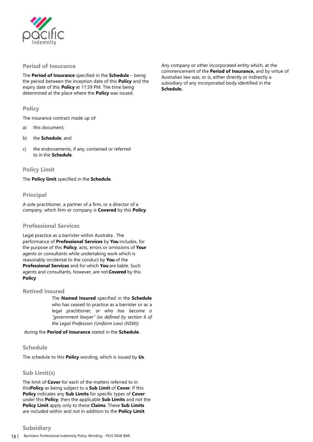

### <span id="page-20-0"></span>**Period of Insurance**

The **Period of Insurance** specified in the **Schedule** – being the period between the inception date of this **Policy** and the expiry date of this **Policy** at 11:59 PM. The time being determined at the place where the **Policy** was issued.

#### **Policy**

The insurance contract made up of:

- a) this document;
- b) the **Schedule**; and
- c) the endorsements, if any, contained or referred to in the **Schedule**.

#### **Policy Limit**

The **Policy limit** specified in the **Schedule**.

### **Principal**

A sole practitioner, a partner of a firm, or a director of a company, which firm or company is **Covered** by this **Policy**.

#### **Professional Services**

Legal practice as a barrister within Australia . The performance of **Professional Services** by **You** includes, for the purpose of this **Policy**, acts, errors or omissions of **Your**  agents or consultants while undertaking work which is reasonably incidental to the conduct by **You** of the **Professional Services** and for which **You** are liable. Such agents and consultants, however, are not**Covered** by this **Policy**.

#### **Retired Insured**

The **Named Insured** specified in the **Schedule**  who has ceased to practice as a barrister or as a legal practitioner*, or who has become a "government lawyer" (as defined by section 6 of the Legal Profession (Uniform Law) (NSW))*

during the **Period of Insurance** stated in the **Schedule**.

#### **Schedule**

The schedule to this **Policy** wording, which is issued by **Us**.

#### **Sub Limit(s)**

The limit of **Cover** for each of the matters referred to in this**Policy** as being subject to a **Sub Limit** of **Cover**. If this **Policy** indicates any **Sub Limits** for specific types of **Cover**  under this **Policy**, then the applicable **Sub Limits** and not the **Policy Limit** apply only to these **Claims**. These **Sub Limits**  are included within and not in addition to the **Policy Limit**.

Any company or other incorporated entity which, at the commencement of the **Period of Insurance,** and by virtue of Australian law was, or is, either directly or indirectly a subsidiary of any incorporated body identified in the **Schedule.**